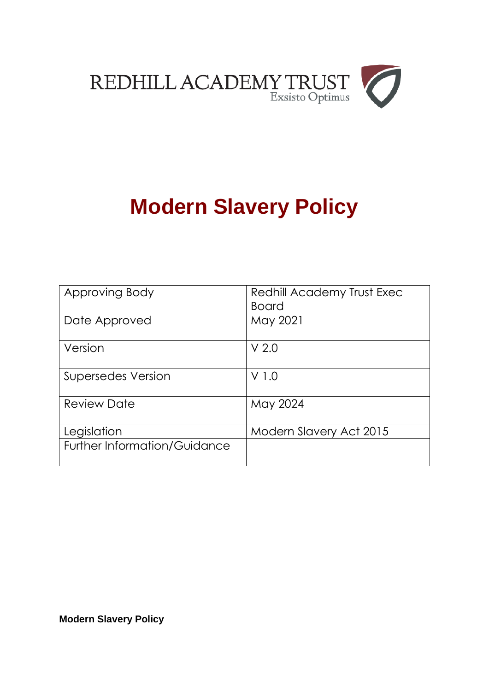

# **Modern Slavery Policy**

| Approving Body               | Redhill Academy Trust Exec<br><b>Board</b> |
|------------------------------|--------------------------------------------|
| Date Approved                | May 2021                                   |
| Version                      | V <sub>2.0</sub>                           |
| Supersedes Version           | V 1.0                                      |
| <b>Review Date</b>           | May 2024                                   |
| Legislation                  | Modern Slavery Act 2015                    |
| Further Information/Guidance |                                            |

**Modern Slavery Policy**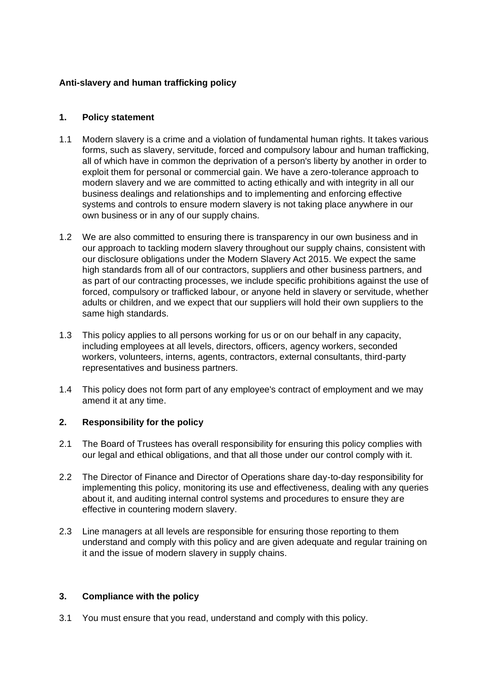## **Anti-slavery and human trafficking policy**

### **1. Policy statement**

- 1.1 Modern slavery is a crime and a violation of fundamental human rights. It takes various forms, such as slavery, servitude, forced and compulsory labour and human trafficking, all of which have in common the deprivation of a person's liberty by another in order to exploit them for personal or commercial gain. We have a zero-tolerance approach to modern slavery and we are committed to acting ethically and with integrity in all our business dealings and relationships and to implementing and enforcing effective systems and controls to ensure modern slavery is not taking place anywhere in our own business or in any of our supply chains.
- 1.2 We are also committed to ensuring there is transparency in our own business and in our approach to tackling modern slavery throughout our supply chains, consistent with our disclosure obligations under the Modern Slavery Act 2015. We expect the same high standards from all of our contractors, suppliers and other business partners, and as part of our contracting processes, we include specific prohibitions against the use of forced, compulsory or trafficked labour, or anyone held in slavery or servitude, whether adults or children, and we expect that our suppliers will hold their own suppliers to the same high standards.
- 1.3 This policy applies to all persons working for us or on our behalf in any capacity, including employees at all levels, directors, officers, agency workers, seconded workers, volunteers, interns, agents, contractors, external consultants, third-party representatives and business partners.
- 1.4 This policy does not form part of any employee's contract of employment and we may amend it at any time.

#### **2. Responsibility for the policy**

- 2.1 The Board of Trustees has overall responsibility for ensuring this policy complies with our legal and ethical obligations, and that all those under our control comply with it.
- 2.2 The Director of Finance and Director of Operations share day-to-day responsibility for implementing this policy, monitoring its use and effectiveness, dealing with any queries about it, and auditing internal control systems and procedures to ensure they are effective in countering modern slavery.
- 2.3 Line managers at all levels are responsible for ensuring those reporting to them understand and comply with this policy and are given adequate and regular training on it and the issue of modern slavery in supply chains.

## **3. Compliance with the policy**

3.1 You must ensure that you read, understand and comply with this policy.